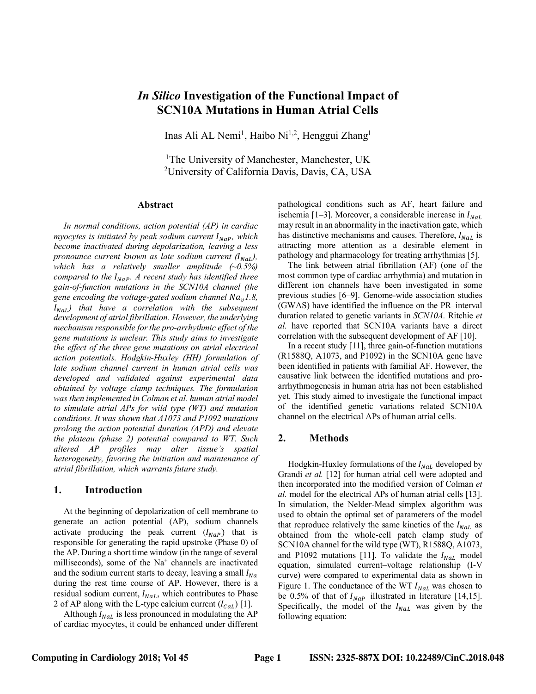# *In Silico* **Investigation of the Functional Impact of SCN10A Mutations in Human Atrial Cells**

Inas Ali AL Nemi<sup>1</sup>, Haibo Ni<sup>1,2</sup>, Henggui Zhang<sup>1</sup>

1The University of Manchester, Manchester, UK 2 University of California Davis, Davis, CA, USA

#### **Abstract**

*In normal conditions, action potential (AP) in cardiac myocytes is initiated by peak sodium current*  $I_{Nap}$ *, which become inactivated during depolarization, leaving a less pronounce current known as late sodium current*  $(I_{\text{NaL}})$ , *which has a relatively smaller amplitude (~0.5%) compared to the*  $I_{Nap}$ *. A recent study has identified three gain-of-function mutations in the SCN10A channel (the gene encoding the voltage-gated sodium channel*  $Na<sub>v</sub>1.8$ ,  $I<sub>Nal</sub>$ ) that have a correlation with the subsequent *development of atrial fibrillation. However, the underlying mechanism responsible for the pro-arrhythmic effect of the gene mutations is unclear. This study aims to investigate the effect of the three gene mutations on atrial electrical action potentials. Hodgkin-Huxley (HH) formulation of late sodium channel current in human atrial cells was developed and validated against experimental data obtained by voltage clamp techniques. The formulation was then implemented in Colman et al. human atrial model to simulate atrial APs for wild type (WT) and mutation conditions. It was shown that A1073 and P1092 mutations prolong the action potential duration (APD) and elevate the plateau (phase 2) potential compared to WT. Such altered AP profiles may alter tissue's spatial heterogeneity, favoring the initiation and maintenance of atrial fibrillation, which warrants future study.* 

#### **1. Introduction**

At the beginning of depolarization of cell membrane to generate an action potential (AP), sodium channels activate producing the peak current  $(I_{NaP})$  that is responsible for generating the rapid upstroke (Phase 0) of the AP. During a short time window (in the range of several milliseconds), some of the  $Na<sup>+</sup>$  channels are inactivated and the sodium current starts to decay, leaving a small  $I_{Na}$ during the rest time course of AP. However, there is a residual sodium current,  $I_{Nat}$ , which contributes to Phase 2 of AP along with the L-type calcium current  $(I_{Cal})$  [1].

Although  $I_{NaL}$  is less pronounced in modulating the AP of cardiac myocytes, it could be enhanced under different pathological conditions such as AF, heart failure and ischemia [1–3]. Moreover, a considerable increase in  $I_{Nat.}$ may result in an abnormality in the inactivation gate, which has distinctive mechanisms and causes. Therefore,  $I_{NaL}$  is attracting more attention as a desirable element in pathology and pharmacology for treating arrhythmias [5].

The link between atrial fibrillation (AF) (one of the most common type of cardiac arrhythmia) and mutation in different ion channels have been investigated in some previous studies [6–9]. Genome-wide association studies (GWAS) have identified the influence on the PR–interval duration related to genetic variants in *SCN10A.* Ritchie *et al.* have reported that SCN10A variants have a direct correlation with the subsequent development of AF [10].

In a recent study [11], three gain-of-function mutations (R1588Q, A1073, and P1092) in the SCN10A gene have been identified in patients with familial AF. However, the causative link between the identified mutations and proarrhythmogenesis in human atria has not been established yet. This study aimed to investigate the functional impact of the identified genetic variations related SCN10A channel on the electrical APs of human atrial cells.

### **2. Methods**

Hodgkin-Huxley formulations of the  $I_{Nat}$  developed by Grandi *et al.* [12] for human atrial cell were adopted and then incorporated into the modified version of Colman *et al.* model for the electrical APs of human atrial cells [13]. In simulation, the Nelder-Mead simplex algorithm was used to obtain the optimal set of parameters of the model that reproduce relatively the same kinetics of the  $I_{N_{qL}}$  as obtained from the whole-cell patch clamp study of SCN10A channel for the wild type (WT), R1588Q, A1073, and P1092 mutations [11]. To validate the  $I_{N a L}$  model equation, simulated current–voltage relationship (I-V curve) were compared to experimental data as shown in Figure 1. The conductance of the WT  $I_{Nat}$  was chosen to be 0.5% of that of  $I_{NaP}$  illustrated in literature [14,15]. Specifically, the model of the  $I_{NaL}$  was given by the following equation: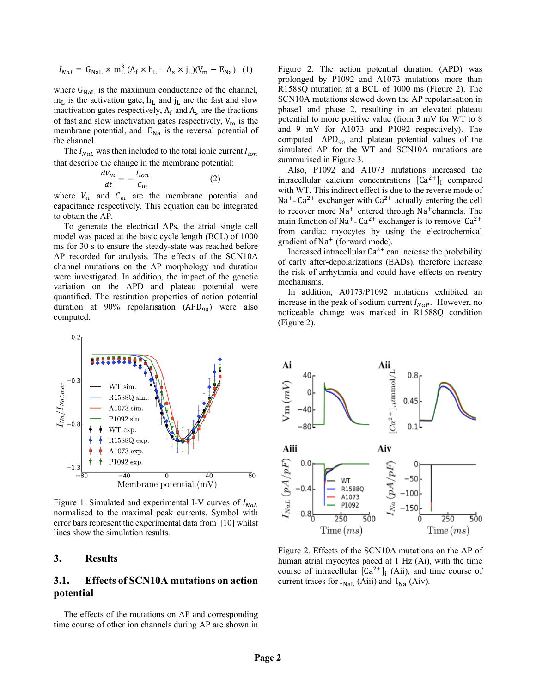$$
I_{N a L} = G_{N a L} \times m_L^3 (A_f \times h_L + A_s \times j_L)(V_m - E_{N a})
$$
 (1)

where  $G_{\text{N}aL}$  is the maximum conductance of the channel,  $m<sub>L</sub>$  is the activation gate,  $h<sub>L</sub>$  and j<sub>L</sub> are the fast and slow inactivation gates respectively,  $A_f$  and  $A_s$  are the fractions of fast and slow inactivation gates respectively,  $V_m$  is the membrane potential, and  $E_{Na}$  is the reversal potential of the channel.

The  $I_{Nal}$  was then included to the total ionic current  $I_{ion}$ that describe the change in the membrane potential:

$$
\frac{dV_m}{dt} = -\frac{l_{ion}}{c_m} \tag{2}
$$

where  $V_m$  and  $C_m$  are the membrane potential and capacitance respectively. This equation can be integrated to obtain the AP.

To generate the electrical APs, the atrial single cell model was paced at the basic cycle length (BCL) of 1000 ms for 30 s to ensure the steady-state was reached before AP recorded for analysis. The effects of the SCN10A channel mutations on the AP morphology and duration were investigated. In addition, the impact of the genetic variation on the APD and plateau potential were quantified. The restitution properties of action potential duration at 90% repolarisation  $(APD_{90})$  were also computed.



Figure 1. Simulated and experimental I-V curves of  $I_{NaL}$ normalised to the maximal peak currents. Symbol with error bars represent the experimental data from [10] whilst lines show the simulation results.

## **3. Results**

### **3.1. Effects of SCN10A mutations on action potential**

The effects of the mutations on AP and corresponding time course of other ion channels during AP are shown in

Figure 2. The action potential duration (APD) was prolonged by P1092 and A1073 mutations more than R1588Q mutation at a BCL of 1000 ms (Figure 2). The SCN10A mutations slowed down the AP repolarisation in phase1 and phase 2, resulting in an elevated plateau potential to more positive value (from 3 mV for WT to 8 and 9 mV for A1073 and P1092 respectively). The computed  $APD_{90}$  and plateau potential values of the simulated AP for the WT and SCN10A mutations are summurised in Figure 3.

Also, P1092 and A1073 mutations increased the intracellular calcium concentrations  $[Ca<sup>2+</sup>]$  compared with WT. This indirect effect is due to the reverse mode of Na<sup>+</sup>- Ca<sup>2+</sup> exchanger with Ca<sup>2+</sup> actually entering the cell to recover more  $Na<sup>+</sup>$  entered through  $Na<sup>+</sup>$ channels. The main function of Na<sup>+</sup>- Ca<sup>2+</sup> exchanger is to remove Ca<sup>2+</sup> from cardiac myocytes by using the electrochemical gradient of  $Na<sup>+</sup>$  (forward mode).

Increased intracellular  $Ca^{2+}$  can increase the probability of early after-depolarizations (EADs), therefore increase the risk of arrhythmia and could have effects on reentry mechanisms.

In addition, A0173/P1092 mutations exhibited an increase in the peak of sodium current  $I_{Nap}$ . However, no noticeable change was marked in R1588Q condition (Figure 2).



Figure 2. Effects of the SCN10A mutations on the AP of human atrial myocytes paced at 1 Hz (Ai), with the time course of intracellular  $[Ca^{2+}]_i$  (Aii), and time course of current traces for  $I_{\text{NaL}}$  (Aiii) and  $I_{\text{Na}}$  (Aiv).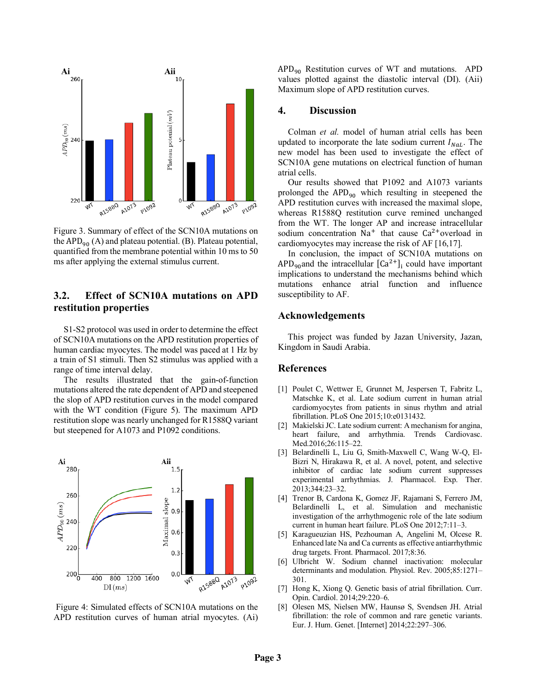

Figure 3. Summary of effect of the SCN10A mutations on the APD<sub>90</sub> (A) and plateau potential. (B). Plateau potential, quantified from the membrane potential within 10 ms to 50 ms after applying the external stimulus current.

# **3.2. Effect of SCN10A mutations on APD restitution properties**

S1-S2 protocol was used in order to determine the effect of SCN10A mutations on the APD restitution properties of human cardiac myocytes. The model was paced at 1 Hz by a train of S1 stimuli. Then S2 stimulus was applied with a range of time interval delay.

The results illustrated that the gain-of-function mutations altered the rate dependent of APD and steepened the slop of APD restitution curves in the model compared with the WT condition (Figure 5). The maximum APD restitution slope was nearly unchanged for R1588Q variant but steepened for A1073 and P1092 conditions.



Figure 4: Simulated effects of SCN10A mutations on the APD restitution curves of human atrial myocytes. (Ai)

 $APD<sub>90</sub>$  Restitution curves of WT and mutations. APD values plotted against the diastolic interval (DI). (Aii) Maximum slope of APD restitution curves.

#### **4. Discussion**

Colman *et al.* model of human atrial cells has been updated to incorporate the late sodium current  $I_{NGL}$ . The new model has been used to investigate the effect of SCN10A gene mutations on electrical function of human atrial cells.

Our results showed that P1092 and A1073 variants prolonged the  $APD_{90}$  which resulting in steepened the APD restitution curves with increased the maximal slope, whereas R1588Q restitution curve remined unchanged from the WT. The longer AP and increase intracellular sodium concentration  $Na<sup>+</sup>$  that cause  $Ca<sup>2+</sup>$  overload in cardiomyocytes may increase the risk of AF [16,17].

In conclusion, the impact of SCN10A mutations on APD<sub>90</sub> and the intracellular  $[Ca^{2+}]_i$  could have important implications to understand the mechanisms behind which mutations enhance atrial function and influence susceptibility to AF.

### **Acknowledgements**

This project was funded by Jazan University, Jazan, Kingdom in Saudi Arabia.

### **References**

- [1] Poulet C, Wettwer E, Grunnet M, Jespersen T, Fabritz L, Matschke K, et al. Late sodium current in human atrial cardiomyocytes from patients in sinus rhythm and atrial fibrillation. PLoS One 2015;10:e0131432.
- [2] Makielski JC. Late sodium current: A mechanism for angina, heart failure, and arrhythmia. Trends Cardiovasc. Med.2016;26:115–22.
- [3] Belardinelli L, Liu G, Smith-Maxwell C, Wang W-Q, El-Bizri N, Hirakawa R, et al. A novel, potent, and selective inhibitor of cardiac late sodium current suppresses experimental arrhythmias. J. Pharmacol. Exp. Ther. 2013;344:23–32.
- [4] Trenor B, Cardona K, Gomez JF, Rajamani S, Ferrero JM, Belardinelli L, et al. Simulation and mechanistic investigation of the arrhythmogenic role of the late sodium current in human heart failure. PLoS One 2012;7:11–3.
- [5] Karagueuzian HS, Pezhouman A, Angelini M, Olcese R. Enhanced late Na and Ca currents as effective antiarrhythmic drug targets. Front. Pharmacol. 2017;8:36.
- [6] Ulbricht W. Sodium channel inactivation: molecular determinants and modulation. Physiol. Rev. 2005;85:1271– 301.
- [7] Hong K, Xiong Q. Genetic basis of atrial fibrillation. Curr. Opin. Cardiol. 2014;29:220–6.
- [8] Olesen MS, Nielsen MW, Haunsø S, Svendsen JH. Atrial fibrillation: the role of common and rare genetic variants. Eur. J. Hum. Genet. [Internet] 2014;22:297–306.